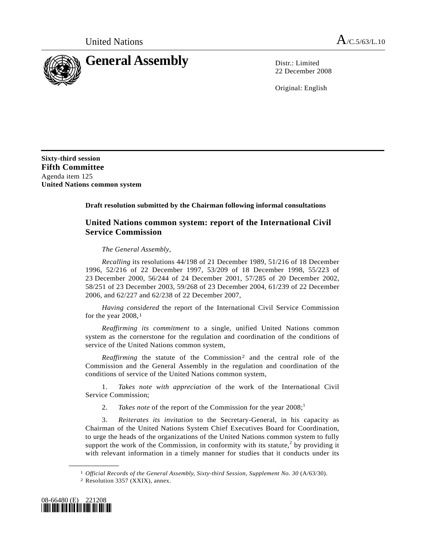<span id="page-0-2"></span>

22 December 2008

Original: English

**Sixty-third session Fifth Committee**  Agenda item 125 **United Nations common system** 

 **Draft resolution submitted by the Chairman following informal consultations** 

# **United Nations common system: report of the International Civil Service Commission**

 *The General Assembly*,

*Recalling* its resolutions 44/198 of 21 December 1989, 51/216 of 18 December 1996, 52/216 of 22 December 1997, 53/209 of 18 December 1998, 55/223 of 23 December 2000, 56/244 of 24 December 2001, 57/285 of 20 December 2002, 58/251 of 23 December 2003, 59/268 of 23 December 2004, 61/239 of 22 December 2006, and 62/227 and 62/238 of 22 December 2007,

*Having considered* the report of the International Civil Service Commission for the year  $2008$ ,<sup>[1](#page-0-0)</sup>

*Reaffirming its commitment* to a single, unified United Nations common system as the cornerstone for the regulation and coordination of the conditions of service of the United Nations common system,

*Reaffirming* the statute of the Commission[2](#page-0-1) and the central role of the Commission and the General Assembly in the regulation and coordination of the conditions of service of the United Nations common system,

 1. *Takes note with appreciation* of the work of the International Civil Service Commission;

2. *Takes note* of the report of the Commission for the year 2008;<sup>[1](#page-0-2)</sup>

 3. *Reiterates its invitation* to the Secretary-General, in his capacity as Chairman of the United Nations System Chief Executives Board for Coordination, to urge the heads of the organizations of the United Nations common system to fully support the work of the Commission, in conformity with its statute, $2$  by providing it with relevant information in a timely manner for studies that it conducts under its

<span id="page-0-1"></span><span id="page-0-0"></span>

**\_\_\_\_\_\_\_\_\_\_\_\_\_\_\_\_\_\_** 

<sup>1</sup> *Official Records of the General Assembly, Sixty-third Session, Supplement No. 30* (A/63/30). 2 Resolution 3357 (XXIX), annex.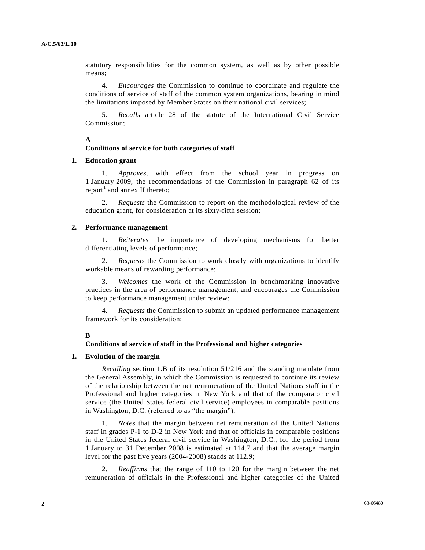statutory responsibilities for the common system, as well as by other possible means;

 4. *Encourages* the Commission to continue to coordinate and regulate the conditions of service of staff of the common system organizations, bearing in mind the limitations imposed by Member States on their national civil services;

 5. *Recalls* article 28 of the statute of the International Civil Service Commission;

#### **A**

#### **Conditions of service for both categories of staff**

### **1. Education grant**

 1. *Approves*, with effect from the school year in progress on 1 January 2009, the recommendations of the Commission in paragraph 62 of its report<sup>[1](#page-0-2)</sup> and annex II thereto;

 2. *Requests* the Commission to report on the methodological review of the education grant, for consideration at its sixty-fifth session;

#### **2. Performance management**

 1. *Reiterates* the importance of developing mechanisms for better differentiating levels of performance;

 2. *Requests* the Commission to work closely with organizations to identify workable means of rewarding performance;

 3. *Welcomes* the work of the Commission in benchmarking innovative practices in the area of performance management, and encourages the Commission to keep performance management under review;

 4. *Requests* the Commission to submit an updated performance management framework for its consideration;

#### **B**

#### **Conditions of service of staff in the Professional and higher categories**

# **1. Evolution of the margin**

*Recalling* section 1.B of its resolution 51/216 and the standing mandate from the General Assembly, in which the Commission is requested to continue its review of the relationship between the net remuneration of the United Nations staff in the Professional and higher categories in New York and that of the comparator civil service (the United States federal civil service) employees in comparable positions in Washington, D.C. (referred to as "the margin"),

 1. *Notes* that the margin between net remuneration of the United Nations staff in grades P-1 to D-2 in New York and that of officials in comparable positions in the United States federal civil service in Washington, D.C., for the period from 1 January to 31 December 2008 is estimated at 114.7 and that the average margin level for the past five years (2004-2008) stands at 112.9;

 2. *Reaffirms* that the range of 110 to 120 for the margin between the net remuneration of officials in the Professional and higher categories of the United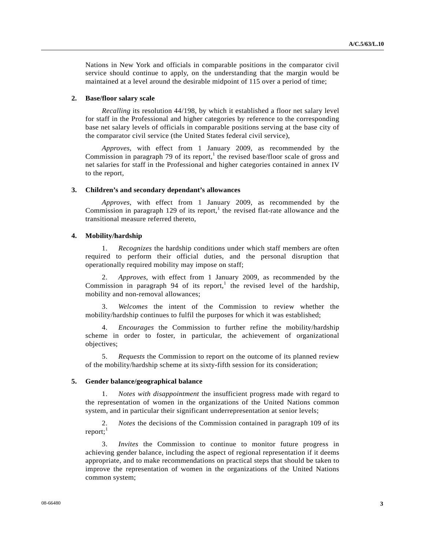Nations in New York and officials in comparable positions in the comparator civil service should continue to apply, on the understanding that the margin would be maintained at a level around the desirable midpoint of 115 over a period of time;

#### **2. Base/floor salary scale**

*Recalling* its resolution 44/198, by which it established a floor net salary level for staff in the Professional and higher categories by reference to the corresponding base net salary levels of officials in comparable positions serving at the base city of the comparator civil service (the United States federal civil service),

*Approves*, with effect from 1 January 2009, as recommended by the Commission in paragraph 79 of its report,<sup>[1](#page-0-2)</sup> the revised base/floor scale of gross and net salaries for staff in the Professional and higher categories contained in annex IV to the report,

#### **3. Children's and secondary dependant's allowances**

*Approves*, with effect from 1 January 2009, as recommended by the Commission in paragraph [1](#page-0-2)29 of its report, $<sup>1</sup>$  the revised flat-rate allowance and the</sup> transitional measure referred thereto,

### **4. Mobility/hardship**

 1. *Recognizes* the hardship conditions under which staff members are often required to perform their official duties, and the personal disruption that operationally required mobility may impose on staff;

 2. *Approves*, with effect from 1 January 2009, as recommended by the Commission in paragraph 94 of its report,<sup>[1](#page-0-2)</sup> the revised level of the hardship, mobility and non-removal allowances;

 3. *Welcomes* the intent of the Commission to review whether the mobility/hardship continues to fulfil the purposes for which it was established;

 4. *Encourages* the Commission to further refine the mobility/hardship scheme in order to foster, in particular, the achievement of organizational objectives;

 5. *Requests* the Commission to report on the outcome of its planned review of the mobility/hardship scheme at its sixty-fifth session for its consideration;

## **5. Gender balance/geographical balance**

 1. *Notes with disappointment* the insufficient progress made with regard to the representation of women in the organizations of the United Nations common system, and in particular their significant underrepresentation at senior levels;

 2. *Notes* the decisions of the Commission contained in paragraph 109 of its  $report;$ <sup>[1](#page-0-2)</sup>

 3. *Invites* the Commission to continue to monitor future progress in achieving gender balance, including the aspect of regional representation if it deems appropriate, and to make recommendations on practical steps that should be taken to improve the representation of women in the organizations of the United Nations common system;